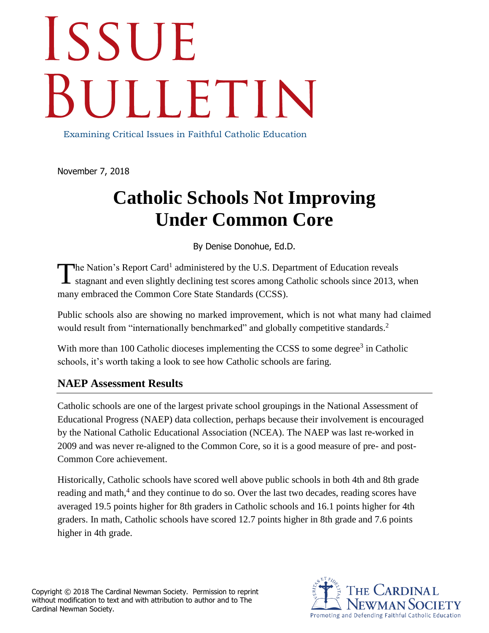## **ISSUE** SULLETIN

Examining Critical Issues in Faithful Catholic Education

November 7, 2018

## **Catholic Schools Not Improving Under Common Core**

By Denise Donohue, Ed.D.

he Nation's Report Card<sup>1</sup> administered by the U.S. Department of Education reveals The Nation's Report Card<sup>1</sup> administered by the U.S. Department of Education reveals stagnant and even slightly declining test scores among Catholic schools since 2013, when many embraced the Common Core State Standards (CCSS).

Public schools also are showing no marked improvement, which is not what many had claimed would result from "internationally benchmarked" and globally competitive standards.<sup>2</sup>

With more than 100 Catholic dioceses implementing the CCSS to some degree<sup>3</sup> in Catholic schools, it's worth taking a look to see how Catholic schools are faring.

## **NAEP Assessment Results**

Catholic schools are one of the largest private school groupings in the National Assessment of Educational Progress (NAEP) data collection, perhaps because their involvement is encouraged by the National Catholic Educational Association (NCEA). The NAEP was last re-worked in 2009 and was never re-aligned to the Common Core, so it is a good measure of pre- and post-Common Core achievement.

Historically, Catholic schools have scored well above public schools in both 4th and 8th grade reading and math,<sup>4</sup> and they continue to do so. Over the last two decades, reading scores have averaged 19.5 points higher for 8th graders in Catholic schools and 16.1 points higher for 4th graders. In math, Catholic schools have scored 12.7 points higher in 8th grade and 7.6 points higher in 4th grade.

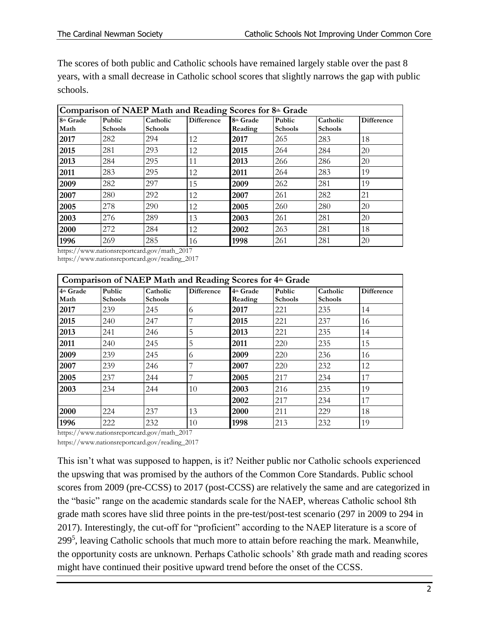The scores of both public and Catholic schools have remained largely stable over the past 8 years, with a small decrease in Catholic school scores that slightly narrows the gap with public schools.

| Comparison of NAEP Math and Reading Scores for 8th Grade                                                 |                |                |                   |           |                |                |                   |  |  |  |  |
|----------------------------------------------------------------------------------------------------------|----------------|----------------|-------------------|-----------|----------------|----------------|-------------------|--|--|--|--|
| 8th Grade                                                                                                | <b>Public</b>  | Catholic       | <b>Difference</b> | 8th Grade | Public         | Catholic       | <b>Difference</b> |  |  |  |  |
| Math                                                                                                     | <b>Schools</b> | <b>Schools</b> |                   | Reading   | <b>Schools</b> | <b>Schools</b> |                   |  |  |  |  |
| 2017                                                                                                     | 282            | 294            | 12                | 2017      | 265            | 283            | 18                |  |  |  |  |
| 2015                                                                                                     | 281            | 293            | 12                | 2015      | 264            | 284            | 20                |  |  |  |  |
| 2013                                                                                                     | 284            | 295            | 11                | 2013      | 266            | 286            | 20                |  |  |  |  |
| 2011                                                                                                     | 283            | 295            | 12                | 2011      | 264            | 283            | 19                |  |  |  |  |
| 2009                                                                                                     | 282            | 297            | 15                | 2009      | 262            | 281            | 19                |  |  |  |  |
| 2007                                                                                                     | 280            | 292            | 12                | 2007      | 261            | 282            | 21                |  |  |  |  |
| 2005                                                                                                     | 278            | 290            | 12                | 2005      | 260            | 280            | 20                |  |  |  |  |
| 2003                                                                                                     | 276            | 289            | 13                | 2003      | 261            | 281            | 20                |  |  |  |  |
| 2000                                                                                                     | 272            | 284            | 12                | 2002      | 263            | 281            | 18                |  |  |  |  |
| 1996                                                                                                     | 269            | 285            | 16                | 1998      | 261            | 281            | 20                |  |  |  |  |
| $1 \ldots$ $11$<br>$\frac{1}{2}$ , $\frac{1}{2}$ , $\frac{1}{2}$ , $\frac{1}{2}$ , $\frac{1}{2}$<br>0017 |                |                |                   |           |                |                |                   |  |  |  |  |

https://www.nationsreportcard.gov/math\_2017

https://www.nationsreportcard.gov/reading\_2017

| Comparison of NAEP Math and Reading Scores for 4th Grade |                          |                            |                   |                      |                          |                            |                   |  |  |  |  |
|----------------------------------------------------------|--------------------------|----------------------------|-------------------|----------------------|--------------------------|----------------------------|-------------------|--|--|--|--|
| 4th Grade<br>Math                                        | Public<br><b>Schools</b> | Catholic<br><b>Schools</b> | <b>Difference</b> | 4th Grade<br>Reading | Public<br><b>Schools</b> | Catholic<br><b>Schools</b> | <b>Difference</b> |  |  |  |  |
| 2017                                                     | 239                      | 245                        | 6                 | 2017                 | 221                      | 235                        | 14                |  |  |  |  |
| 2015                                                     | 240                      | 247                        |                   | 2015                 | 221                      | 237                        | 16                |  |  |  |  |
| 2013                                                     | 241                      | 246                        | 5                 | 2013                 | 221                      | 235                        | 14                |  |  |  |  |
| 2011                                                     | 240                      | 245                        | 5                 | 2011                 | 220                      | 235                        | 15                |  |  |  |  |
| 2009                                                     | 239                      | 245                        | 6                 | 2009                 | 220                      | 236                        | 16                |  |  |  |  |
| 2007                                                     | 239                      | 246                        |                   | 2007                 | 220                      | 232                        | 12                |  |  |  |  |
| 2005                                                     | 237                      | 244                        | $\overline{ }$    | 2005                 | 217                      | 234                        | 17                |  |  |  |  |
| 2003                                                     | 234                      | 244                        | 10                | 2003                 | 216                      | 235                        | 19                |  |  |  |  |
|                                                          |                          |                            |                   | 2002                 | 217                      | 234                        | 17                |  |  |  |  |
| 2000                                                     | 224                      | 237                        | 13                | 2000                 | 211                      | 229                        | 18                |  |  |  |  |
| 1996                                                     | 222                      | 232                        | 10                | 1998                 | 213                      | 232                        | 19                |  |  |  |  |

https://www.nationsreportcard.gov/math\_2017

https://www.nationsreportcard.gov/reading\_2017

This isn't what was supposed to happen, is it? Neither public nor Catholic schools experienced the upswing that was promised by the authors of the Common Core Standards. Public school scores from 2009 (pre-CCSS) to 2017 (post-CCSS) are relatively the same and are categorized in the "basic" range on the academic standards scale for the NAEP, whereas Catholic school 8th grade math scores have slid three points in the pre-test/post-test scenario (297 in 2009 to 294 in 2017). Interestingly, the cut-off for "proficient" according to the NAEP literature is a score of 299<sup>5</sup>, leaving Catholic schools that much more to attain before reaching the mark. Meanwhile, the opportunity costs are unknown. Perhaps Catholic schools' 8th grade math and reading scores might have continued their positive upward trend before the onset of the CCSS.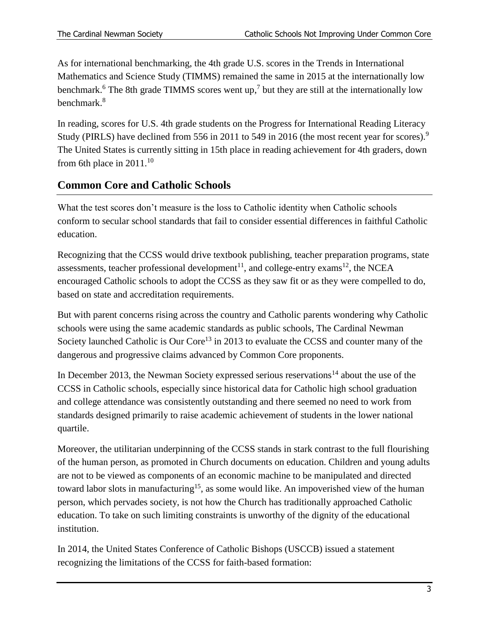As for international benchmarking, the 4th grade U.S. scores in the Trends in International Mathematics and Science Study (TIMMS) remained the same in 2015 at the internationally low benchmark.<sup>6</sup> The 8th grade TIMMS scores went up,<sup>7</sup> but they are still at the internationally low benchmark.<sup>8</sup>

In reading, scores for U.S. 4th grade students on the Progress for International Reading Literacy Study (PIRLS) have declined from 556 in 2011 to 549 in 2016 (the most recent year for scores).<sup>9</sup> The United States is currently sitting in 15th place in reading achievement for 4th graders, down from 6th place in  $2011$ .<sup>10</sup>

## **Common Core and Catholic Schools**

What the test scores don't measure is the loss to Catholic identity when Catholic schools conform to secular school standards that fail to consider essential differences in faithful Catholic education.

Recognizing that the CCSS would drive textbook publishing, teacher preparation programs, state assessments, teacher professional development<sup>11</sup>, and college-entry exams<sup>12</sup>, the NCEA encouraged Catholic schools to adopt the CCSS as they saw fit or as they were compelled to do, based on state and accreditation requirements.

But with parent concerns rising across the country and Catholic parents wondering why Catholic schools were using the same academic standards as public schools, The Cardinal Newman Society launched Catholic is Our Core<sup>13</sup> in 2013 to evaluate the CCSS and counter many of the dangerous and progressive claims advanced by Common Core proponents.

In December 2013, the Newman Society expressed serious reservations<sup>14</sup> about the use of the CCSS in Catholic schools, especially since historical data for Catholic high school graduation and college attendance was consistently outstanding and there seemed no need to work from standards designed primarily to raise academic achievement of students in the lower national quartile.

Moreover, the utilitarian underpinning of the CCSS stands in stark contrast to the full flourishing of the human person, as promoted in Church documents on education. Children and young adults are not to be viewed as components of an economic machine to be manipulated and directed toward labor slots in manufacturing<sup>15</sup>, as some would like. An impoverished view of the human person, which pervades society, is not how the Church has traditionally approached Catholic education. To take on such limiting constraints is unworthy of the dignity of the educational institution.

In 2014, the United States Conference of Catholic Bishops (USCCB) issued a statement recognizing the limitations of the CCSS for faith-based formation: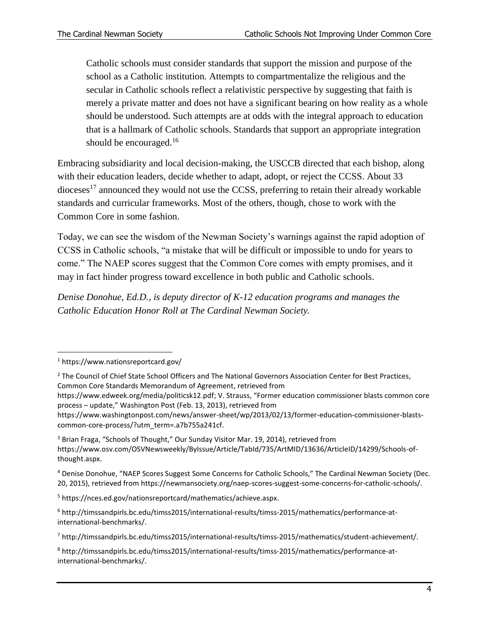Catholic schools must consider standards that support the mission and purpose of the school as a Catholic institution. Attempts to compartmentalize the religious and the secular in Catholic schools reflect a relativistic perspective by suggesting that faith is merely a private matter and does not have a significant bearing on how reality as a whole should be understood. Such attempts are at odds with the integral approach to education that is a hallmark of Catholic schools. Standards that support an appropriate integration should be encouraged. $16$ 

Embracing subsidiarity and local decision-making, the USCCB directed that each bishop, along with their education leaders, decide whether to adapt, adopt, or reject the CCSS. About 33  $\alpha$  dioceses<sup>17</sup> announced they would not use the CCSS, preferring to retain their already workable standards and curricular frameworks. Most of the others, though, chose to work with the Common Core in some fashion.

Today, we can see the wisdom of the Newman Society's warnings against the rapid adoption of CCSS in Catholic schools, "a mistake that will be difficult or impossible to undo for years to come." The NAEP scores suggest that the Common Core comes with empty promises, and it may in fact hinder progress toward excellence in both public and Catholic schools.

*Denise Donohue, Ed.D., is deputy director of K-12 education programs and manages the Catholic Education Honor Roll at The Cardinal Newman Society.*

 $\overline{\phantom{a}}$ 

<sup>5</sup> https://nces.ed.gov/nationsreportcard/mathematics/achieve.aspx.

<sup>1</sup> https://www.nationsreportcard.gov/

<sup>&</sup>lt;sup>2</sup> The Council of Chief State School Officers and The National Governors Association Center for Best Practices, Common Core Standards Memorandum of Agreement, retrieved from

https://www.edweek.org/media/politicsk12.pdf; V. Strauss, "Former education commissioner blasts common core process – update," Washington Post (Feb. 13, 2013), retrieved from

https://www.washingtonpost.com/news/answer-sheet/wp/2013/02/13/former-education-commissioner-blastscommon-core-process/?utm\_term=.a7b755a241cf.

<sup>&</sup>lt;sup>3</sup> Brian Fraga, "Schools of Thought," Our Sunday Visitor Mar. 19, 2014), retrieved from https://www.osv.com/OSVNewsweekly/ByIssue/Article/TabId/735/ArtMID/13636/ArticleID/14299/Schools-ofthought.aspx.

<sup>4</sup> Denise Donohue, "NAEP Scores Suggest Some Concerns for Catholic Schools," The Cardinal Newman Society (Dec. 20, 2015), retrieved from https://newmansociety.org/naep-scores-suggest-some-concerns-for-catholic-schools/.

<sup>6</sup> http://timssandpirls.bc.edu/timss2015/international-results/timss-2015/mathematics/performance-atinternational-benchmarks/.

<sup>7</sup> http://timssandpirls.bc.edu/timss2015/international-results/timss-2015/mathematics/student-achievement/.

<sup>8</sup> http://timssandpirls.bc.edu/timss2015/international-results/timss-2015/mathematics/performance-atinternational-benchmarks/.